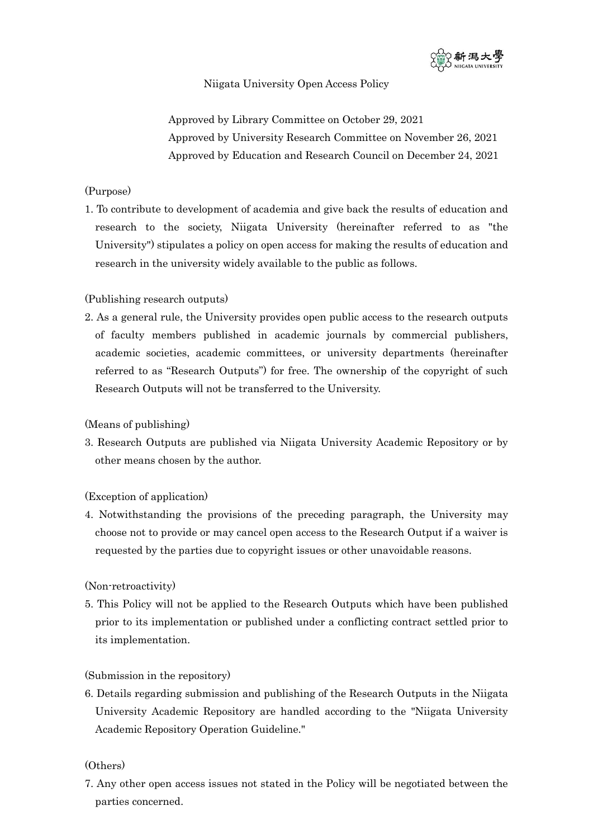

# Niigata University Open Access Policy

Approved by Library Committee on October 29, 2021 Approved by University Research Committee on November 26, 2021 Approved by Education and Research Council on December 24, 2021

## (Purpose)

1. To contribute to development of academia and give back the results of education and research to the society, Niigata University (hereinafter referred to as "the University") stipulates a policy on open access for making the results of education and research in the university widely available to the public as follows.

# (Publishing research outputs)

2. As a general rule, the University provides open public access to the research outputs of faculty members published in academic journals by commercial publishers, academic societies, academic committees, or university departments (hereinafter referred to as "Research Outputs") for free. The ownership of the copyright of such Research Outputs will not be transferred to the University.

## (Means of publishing)

3. Research Outputs are published via Niigata University Academic Repository or by other means chosen by the author.

# (Exception of application)

4. Notwithstanding the provisions of the preceding paragraph, the University may choose not to provide or may cancel open access to the Research Output if a waiver is requested by the parties due to copyright issues or other unavoidable reasons.

### (Non-retroactivity)

5. This Policy will not be applied to the Research Outputs which have been published prior to its implementation or published under a conflicting contract settled prior to its implementation.

### (Submission in the repository)

6. Details regarding submission and publishing of the Research Outputs in the Niigata University Academic Repository are handled according to the "Niigata University Academic Repository Operation Guideline."

# (Others)

7. Any other open access issues not stated in the Policy will be negotiated between the parties concerned.